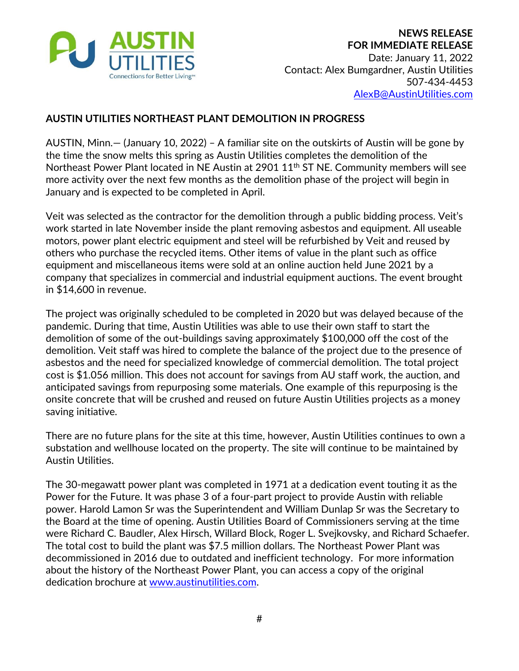

## **AUSTIN UTILITIES NORTHEAST PLANT DEMOLITION IN PROGRESS**

AUSTIN, Minn.— (January 10, 2022) – A familiar site on the outskirts of Austin will be gone by the time the snow melts this spring as Austin Utilities completes the demolition of the Northeast Power Plant located in NE Austin at 2901 11<sup>th</sup> ST NE. Community members will see more activity over the next few months as the demolition phase of the project will begin in January and is expected to be completed in April.

Veit was selected as the contractor for the demolition through a public bidding process. Veit's work started in late November inside the plant removing asbestos and equipment. All useable motors, power plant electric equipment and steel will be refurbished by Veit and reused by others who purchase the recycled items. Other items of value in the plant such as office equipment and miscellaneous items were sold at an online auction held June 2021 by a company that specializes in commercial and industrial equipment auctions. The event brought in \$14,600 in revenue.

The project was originally scheduled to be completed in 2020 but was delayed because of the pandemic. During that time, Austin Utilities was able to use their own staff to start the demolition of some of the out-buildings saving approximately \$100,000 off the cost of the demolition. Veit staff was hired to complete the balance of the project due to the presence of asbestos and the need for specialized knowledge of commercial demolition. The total project cost is \$1.056 million. This does not account for savings from AU staff work, the auction, and anticipated savings from repurposing some materials. One example of this repurposing is the onsite concrete that will be crushed and reused on future Austin Utilities projects as a money saving initiative.

There are no future plans for the site at this time, however, Austin Utilities continues to own a substation and wellhouse located on the property. The site will continue to be maintained by Austin Utilities.

The 30-megawatt power plant was completed in 1971 at a dedication event touting it as the Power for the Future. It was phase 3 of a four-part project to provide Austin with reliable power. Harold Lamon Sr was the Superintendent and William Dunlap Sr was the Secretary to the Board at the time of opening. Austin Utilities Board of Commissioners serving at the time were Richard C. Baudler, Alex Hirsch, Willard Block, Roger L. Svejkovsky, and Richard Schaefer. The total cost to build the plant was \$7.5 million dollars. The Northeast Power Plant was decommissioned in 2016 due to outdated and inefficient technology. For more information about the history of the Northeast Power Plant, you can access a copy of the original dedication brochure at [www.austinutilities.com.](http://www.austinutilities.com/)